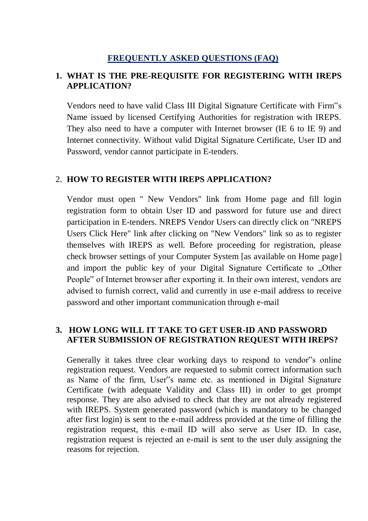## **FREQUENTLY ASKED QUESTIONS (FAQ)**

# **1. WHAT IS THE PRE-REQUISITE FOR REGISTERING WITH IREPS APPLICATION?**

Vendors need to have valid Class III Digital Signature Certificate with Firm"s Name issued by licensed Certifying Authorities for registration with IREPS. They also need to have a computer with Internet browser (IE 6 to IE 9) and Internet connectivity. Without valid Digital Signature Certificate, User ID and Password, vendor cannot participate in E-tenders.

## 2. **HOW TO REGISTER WITH IREPS APPLICATION?**

Vendor must open " New Vendors" link from Home page and fill login registration form to obtain User ID and password for future use and direct participation in E-tenders. NREPS Vendor Users can directly click on "NREPS Users Click Here" link after clicking on "New Vendors" link so as to register themselves with IREPS as well. Before proceeding for registration, please check browser settings of your Computer System [as available on Home page] and import the public key of your Digital Signature Certificate to "Other People" of Internet browser after exporting it. In their own interest, vendors are advised to furnish correct, valid and currently in use e-mail address to receive password and other important communication through e-mail

# **3. HOW LONG WILL IT TAKE TO GET USER-ID AND PASSWORD AFTER SUBMISSION OF REGISTRATION REQUEST WITH IREPS?**

Generally it takes three clear working days to respond to vendor"s online registration request. Vendors are requested to submit correct information such as Name of the firm, User"s name etc. as mentioned in Digital Signature Certificate (with adequate Validity and Class III) in order to get prompt response. They are also advised to check that they are not already registered with IREPS. System generated password (which is mandatory to be changed after first login) is sent to the e-mail address provided at the time of filling the registration request, this e-mail ID will also serve as User ID. In case, registration request is rejected an e-mail is sent to the user duly assigning the reasons for rejection.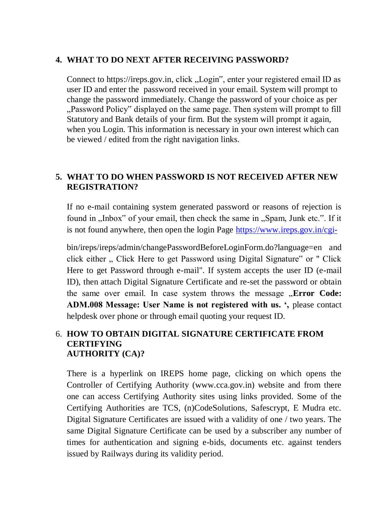## **4. WHAT TO DO NEXT AFTER RECEIVING PASSWORD?**

Connect to https://ireps.gov.in, click "Login", enter your registered email ID as user ID and enter the password received in your email. System will prompt to change the password immediately. Change the password of your choice as per "Password Policy" displayed on the same page. Then system will prompt to fill Statutory and Bank details of your firm. But the system will prompt it again, when you Login. This information is necessary in your own interest which can be viewed / edited from the right navigation links.

# **5. WHAT TO DO WHEN PASSWORD IS NOT RECEIVED AFTER NEW REGISTRATION?**

If no e-mail containing system generated password or reasons of rejection is found in "Inbox" of your email, then check the same in "Spam, Junk etc.". If it is not found anywhere, then open the login Page<https://www.ireps.gov.in/cgi->

bin/ireps/ireps/admin/changePasswordBeforeLoginForm.do?language=en and click either ... Click Here to get Password using Digital Signature" or " Click Here to get Password through e-mail". If system accepts the user ID (e-mail ID), then attach Digital Signature Certificate and re-set the password or obtain the same over email. In case system throws the message "**Error Code: ADM.008 Message: User Name is not registered with us. ',** please contact helpdesk over phone or through email quoting your request ID.

## 6. **HOW TO OBTAIN DIGITAL SIGNATURE CERTIFICATE FROM CERTIFYING AUTHORITY (CA)?**

There is a hyperlink on IREPS home page, clicking on which opens the Controller of Certifying Authority (www.cca.gov.in) website and from there one can access Certifying Authority sites using links provided. Some of the Certifying Authorities are TCS, (n)CodeSolutions, Safescrypt, E Mudra etc. Digital Signature Certificates are issued with a validity of one / two years. The same Digital Signature Certificate can be used by a subscriber any number of times for authentication and signing e-bids, documents etc. against tenders issued by Railways during its validity period.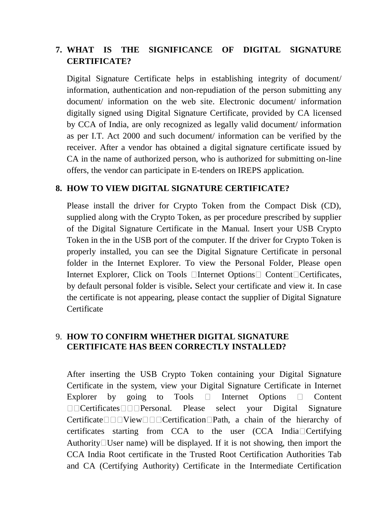# **7. WHAT IS THE SIGNIFICANCE OF DIGITAL SIGNATURE CERTIFICATE?**

Digital Signature Certificate helps in establishing integrity of document/ information, authentication and non-repudiation of the person submitting any document/ information on the web site. Electronic document/ information digitally signed using Digital Signature Certificate, provided by CA licensed by CCA of India, are only recognized as legally valid document/ information as per I.T. Act 2000 and such document/ information can be verified by the receiver. After a vendor has obtained a digital signature certificate issued by CA in the name of authorized person, who is authorized for submitting on-line offers, the vendor can participate in E-tenders on IREPS application.

## **8. HOW TO VIEW DIGITAL SIGNATURE CERTIFICATE?**

Please install the driver for Crypto Token from the Compact Disk (CD), supplied along with the Crypto Token, as per procedure prescribed by supplier of the Digital Signature Certificate in the Manual. Insert your USB Crypto Token in the in the USB port of the computer. If the driver for Crypto Token is properly installed, you can see the Digital Signature Certificate in personal folder in the Internet Explorer. To view the Personal Folder, Please open Internet Explorer, Click on Tools  $\Box$ Internet Options $\Box$  Content  $\Box$ Certificates, by default personal folder is visible**.** Select your certificate and view it. In case the certificate is not appearing, please contact the supplier of Digital Signature **Certificate** 

# 9. **HOW TO CONFIRM WHETHER DIGITAL SIGNATURE CERTIFICATE HAS BEEN CORRECTLY INSTALLED?**

After inserting the USB Crypto Token containing your Digital Signature Certificate in the system, view your Digital Signature Certificate in Internet Explorer by going to Tools  $\Box$  Internet Options  $\Box$  Content Certificates Personal. Please select your Digital Signature Certificate  $\Box$   $\Box$  View  $\Box$   $\Box$  Certification  $\Box$  Path, a chain of the hierarchy of certificates starting from CCA to the user  $(CCA \text{ India} \Box \text{Centifying})$ Authority  $\Box$  User name) will be displayed. If it is not showing, then import the CCA India Root certificate in the Trusted Root Certification Authorities Tab and CA (Certifying Authority) Certificate in the Intermediate Certification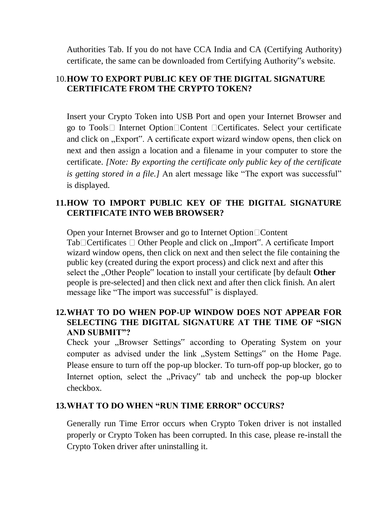Authorities Tab. If you do not have CCA India and CA (Certifying Authority) certificate, the same can be downloaded from Certifying Authority"s website.

# 10.**HOW TO EXPORT PUBLIC KEY OF THE DIGITAL SIGNATURE CERTIFICATE FROM THE CRYPTO TOKEN?**

Insert your Crypto Token into USB Port and open your Internet Browser and go to  $Tools \Box$  Internet Option  $\Box$  Content  $\Box$  Certificates. Select your certificate and click on "Export". A certificate export wizard window opens, then click on next and then assign a location and a filename in your computer to store the certificate. *[Note: By exporting the certificate only public key of the certificate is getting stored in a file.]* An alert message like "The export was successful" is displayed.

# **11.HOW TO IMPORT PUBLIC KEY OF THE DIGITAL SIGNATURE CERTIFICATE INTO WEB BROWSER?**

Open your Internet Browser and go to Internet Option □ Content  $Tab \Box Certificates \Box Other People and click on "Import"$ . A certificate Import". wizard window opens, then click on next and then select the file containing the public key (created during the export process) and click next and after this select the "Other People" location to install your certificate [by default **Other** people is pre-selected] and then click next and after then click finish. An alert message like "The import was successful" is displayed.

# **12.WHAT TO DO WHEN POP-UP WINDOW DOES NOT APPEAR FOR SELECTING THE DIGITAL SIGNATURE AT THE TIME OF "SIGN AND SUBMIT"?**

Check your "Browser Settings" according to Operating System on your computer as advised under the link "System Settings" on the Home Page. Please ensure to turn off the pop-up blocker. To turn-off pop-up blocker, go to Internet option, select the "Privacy" tab and uncheck the pop-up blocker checkbox.

# **13.WHAT TO DO WHEN "RUN TIME ERROR" OCCURS?**

Generally run Time Error occurs when Crypto Token driver is not installed properly or Crypto Token has been corrupted. In this case, please re-install the Crypto Token driver after uninstalling it.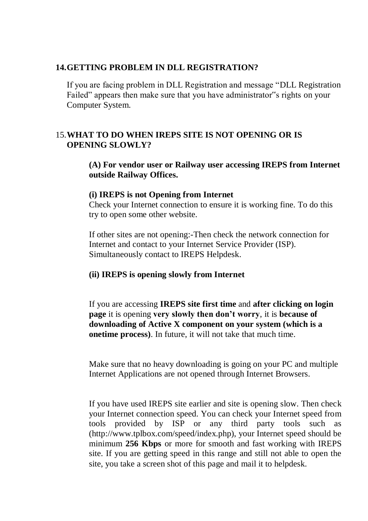#### **14.GETTING PROBLEM IN DLL REGISTRATION?**

If you are facing problem in DLL Registration and message "DLL Registration Failed" appears then make sure that you have administrator"s rights on your Computer System.

# 15.**WHAT TO DO WHEN IREPS SITE IS NOT OPENING OR IS OPENING SLOWLY?**

**(A) For vendor user or Railway user accessing IREPS from Internet outside Railway Offices.** 

#### **(i) IREPS is not Opening from Internet**

Check your Internet connection to ensure it is working fine. To do this try to open some other website.

If other sites are not opening:-Then check the network connection for Internet and contact to your Internet Service Provider (ISP). Simultaneously contact to IREPS Helpdesk.

## **(ii) IREPS is opening slowly from Internet**

If you are accessing **IREPS site first time** and **after clicking on login page** it is opening **very slowly then don't worry**, it is **because of downloading of Active X component on your system (which is a onetime process)**. In future, it will not take that much time.

Make sure that no heavy downloading is going on your PC and multiple Internet Applications are not opened through Internet Browsers.

If you have used IREPS site earlier and site is opening slow. Then check your Internet connection speed. You can check your Internet speed from tools provided by ISP or any third party tools such as (http://www.tplbox.com/speed/index.php), your Internet speed should be minimum **256 Kbps** or more for smooth and fast working with IREPS site. If you are getting speed in this range and still not able to open the site, you take a screen shot of this page and mail it to helpdesk.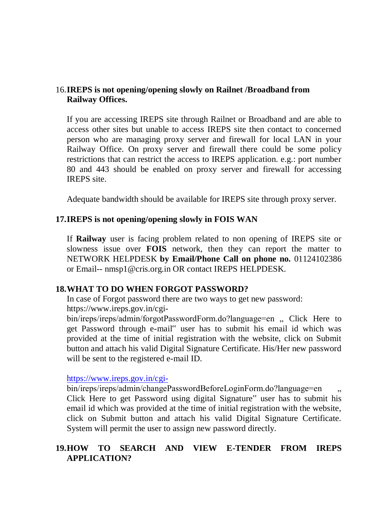## 16.**IREPS is not opening/opening slowly on Railnet /Broadband from Railway Offices.**

If you are accessing IREPS site through Railnet or Broadband and are able to access other sites but unable to access IREPS site then contact to concerned person who are managing proxy server and firewall for local LAN in your Railway Office. On proxy server and firewall there could be some policy restrictions that can restrict the access to IREPS application. e.g.: port number 80 and 443 should be enabled on proxy server and firewall for accessing IREPS site.

Adequate bandwidth should be available for IREPS site through proxy server.

## **17.IREPS is not opening/opening slowly in FOIS WAN**

If **Railway** user is facing problem related to non opening of IREPS site or slowness issue over **FOIS** network, then they can report the matter to NETWORK HELPDESK **by Email/Phone Call on phone no.** 01124102386 or Email-- nmsp1@cris.org.in OR contact IREPS HELPDESK.

#### **18.WHAT TO DO WHEN FORGOT PASSWORD?**

In case of Forgot password there are two ways to get new password: https://www.ireps.gov.in/cgi-

bin/ireps/ireps/admin/forgotPasswordForm.do?language=en , Click Here to get Password through e-mail" user has to submit his email id which was provided at the time of initial registration with the website, click on Submit button and attach his valid Digital Signature Certificate. His/Her new password will be sent to the registered e-mail ID.

<https://www.ireps.gov.in/cgi->

bin/ireps/ireps/admin/changePasswordBeforeLoginForm.do?language=en " Click Here to get Password using digital Signature" user has to submit his email id which was provided at the time of initial registration with the website, click on Submit button and attach his valid Digital Signature Certificate. System will permit the user to assign new password directly.

# **19.HOW TO SEARCH AND VIEW E-TENDER FROM IREPS APPLICATION?**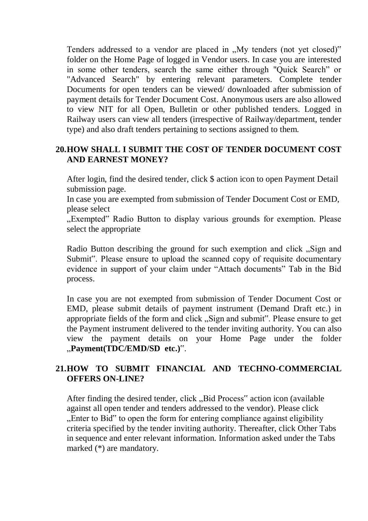Tenders addressed to a vendor are placed in  $M_y$  tenders (not yet closed)" folder on the Home Page of logged in Vendor users. In case you are interested in some other tenders, search the same either through "Quick Search" or "Advanced Search" by entering relevant parameters. Complete tender Documents for open tenders can be viewed/ downloaded after submission of payment details for Tender Document Cost. Anonymous users are also allowed to view NIT for all Open, Bulletin or other published tenders. Logged in Railway users can view all tenders (irrespective of Railway/department, tender type) and also draft tenders pertaining to sections assigned to them.

# **20.HOW SHALL I SUBMIT THE COST OF TENDER DOCUMENT COST AND EARNEST MONEY?**

After login, find the desired tender, click \$ action icon to open Payment Detail submission page.

In case you are exempted from submission of Tender Document Cost or EMD, please select

"Exempted" Radio Button to display various grounds for exemption. Please select the appropriate

Radio Button describing the ground for such exemption and click "Sign and" Submit". Please ensure to upload the scanned copy of requisite documentary evidence in support of your claim under "Attach documents" Tab in the Bid process.

In case you are not exempted from submission of Tender Document Cost or EMD, please submit details of payment instrument (Demand Draft etc.) in appropriate fields of the form and click "Sign and submit". Please ensure to get the Payment instrument delivered to the tender inviting authority. You can also view the payment details on your Home Page under the folder "**Payment(TDC/EMD/SD etc.)**".

# **21.HOW TO SUBMIT FINANCIAL AND TECHNO-COMMERCIAL OFFERS ON-LINE?**

After finding the desired tender, click "Bid Process" action icon (available against all open tender and tenders addressed to the vendor). Please click "Enter to Bid" to open the form for entering compliance against eligibility criteria specified by the tender inviting authority. Thereafter, click Other Tabs in sequence and enter relevant information. Information asked under the Tabs marked (\*) are mandatory.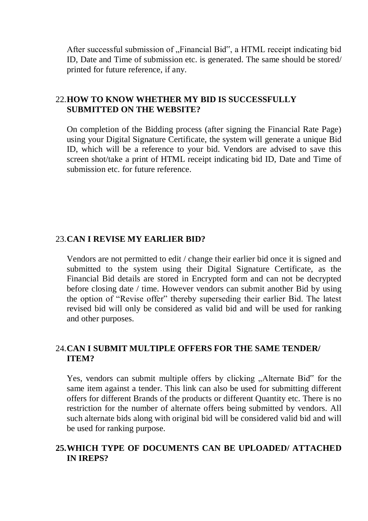After successful submission of "Financial Bid", a HTML receipt indicating bid ID, Date and Time of submission etc. is generated. The same should be stored/ printed for future reference, if any.

#### 22.**HOW TO KNOW WHETHER MY BID IS SUCCESSFULLY SUBMITTED ON THE WEBSITE?**

On completion of the Bidding process (after signing the Financial Rate Page) using your Digital Signature Certificate, the system will generate a unique Bid ID, which will be a reference to your bid. Vendors are advised to save this screen shot/take a print of HTML receipt indicating bid ID, Date and Time of submission etc. for future reference.

#### 23.**CAN I REVISE MY EARLIER BID?**

Vendors are not permitted to edit / change their earlier bid once it is signed and submitted to the system using their Digital Signature Certificate, as the Financial Bid details are stored in Encrypted form and can not be decrypted before closing date / time. However vendors can submit another Bid by using the option of "Revise offer" thereby superseding their earlier Bid. The latest revised bid will only be considered as valid bid and will be used for ranking and other purposes.

## 24.**CAN I SUBMIT MULTIPLE OFFERS FOR THE SAME TENDER/ ITEM?**

Yes, vendors can submit multiple offers by clicking "Alternate Bid" for the same item against a tender. This link can also be used for submitting different offers for different Brands of the products or different Quantity etc. There is no restriction for the number of alternate offers being submitted by vendors. All such alternate bids along with original bid will be considered valid bid and will be used for ranking purpose.

## **25.WHICH TYPE OF DOCUMENTS CAN BE UPLOADED/ ATTACHED IN IREPS?**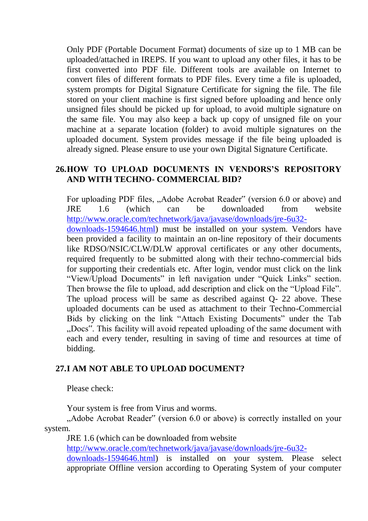Only PDF (Portable Document Format) documents of size up to 1 MB can be uploaded/attached in IREPS. If you want to upload any other files, it has to be first converted into PDF file. Different tools are available on Internet to convert files of different formats to PDF files. Every time a file is uploaded, system prompts for Digital Signature Certificate for signing the file. The file stored on your client machine is first signed before uploading and hence only unsigned files should be picked up for upload, to avoid multiple signature on the same file. You may also keep a back up copy of unsigned file on your machine at a separate location (folder) to avoid multiple signatures on the uploaded document. System provides message if the file being uploaded is already signed. Please ensure to use your own Digital Signature Certificate.

# **26.HOW TO UPLOAD DOCUMENTS IN VENDORS'S REPOSITORY AND WITH TECHNO- COMMERCIAL BID?**

For uploading PDF files, "Adobe Acrobat Reader" (version 6.0 or above) and JRE 1.6 (which can be downloaded from website [http://www.oracle.com/technetwork/java/javase/downloads/jre-6u32](http://www.oracle.com/technetwork/java/javase/downloads/jre-6u32-downloads-1594646.html) [downloads-1594646.html\)](http://www.oracle.com/technetwork/java/javase/downloads/jre-6u32-downloads-1594646.html) must be installed on your system. Vendors have been provided a facility to maintain an on-line repository of their documents like RDSO/NSIC/CLW/DLW approval certificates or any other documents, required frequently to be submitted along with their techno-commercial bids for supporting their credentials etc. After login, vendor must click on the link "View/Upload Documents" in left navigation under "Quick Links" section. Then browse the file to upload, add description and click on the "Upload File". The upload process will be same as described against Q- 22 above. These uploaded documents can be used as attachment to their Techno-Commercial Bids by clicking on the link "Attach Existing Documents" under the Tab "Docs". This facility will avoid repeated uploading of the same document with each and every tender, resulting in saving of time and resources at time of bidding.

## **27.I AM NOT ABLE TO UPLOAD DOCUMENT?**

Please check:

Your system is free from Virus and worms.

"Adobe Acrobat Reader" (version 6.0 or above) is correctly installed on your system.

JRE 1.6 (which can be downloaded from website [http://www.oracle.com/technetwork/java/javase/downloads/jre-6u32](http://www.oracle.com/technetwork/java/javase/downloads/jre-6u32-downloads-1594646.html) [downloads-1594646.html\)](http://www.oracle.com/technetwork/java/javase/downloads/jre-6u32-downloads-1594646.html) is installed on your system. Please select appropriate Offline version according to Operating System of your computer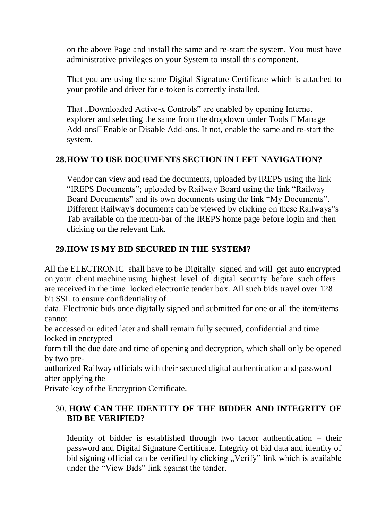on the above Page and install the same and re-start the system. You must have administrative privileges on your System to install this component.

That you are using the same Digital Signature Certificate which is attached to your profile and driver for e-token is correctly installed.

That , Downloaded Active-x Controls" are enabled by opening Internet explorer and selecting the same from the dropdown under Tools  $\Box$ Manage Add-ons Enable or Disable Add-ons. If not, enable the same and re-start the system.

# **28.HOW TO USE DOCUMENTS SECTION IN LEFT NAVIGATION?**

Vendor can view and read the documents, uploaded by IREPS using the link "IREPS Documents"; uploaded by Railway Board using the link "Railway Board Documents" and its own documents using the link "My Documents". Different Railway's documents can be viewed by clicking on these Railways"s Tab available on the menu-bar of the IREPS home page before login and then clicking on the relevant link.

# **29.HOW IS MY BID SECURED IN THE SYSTEM?**

All the ELECTRONIC shall have to be Digitally signed and will get auto encrypted on your client machine using highest level of digital security before such offers are received in the time locked electronic tender box. All such bids travel over 128 bit SSL to ensure confidentiality of

data. Electronic bids once digitally signed and submitted for one or all the item/items cannot

be accessed or edited later and shall remain fully secured, confidential and time locked in encrypted

form till the due date and time of opening and decryption, which shall only be opened by two pre-

authorized Railway officials with their secured digital authentication and password after applying the

Private key of the Encryption Certificate.

# 30. **HOW CAN THE IDENTITY OF THE BIDDER AND INTEGRITY OF BID BE VERIFIED?**

Identity of bidder is established through two factor authentication – their password and Digital Signature Certificate. Integrity of bid data and identity of bid signing official can be verified by clicking "Verify" link which is available under the "View Bids" link against the tender.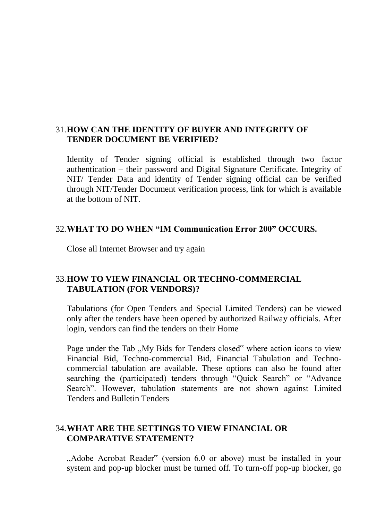## 31.**HOW CAN THE IDENTITY OF BUYER AND INTEGRITY OF TENDER DOCUMENT BE VERIFIED?**

Identity of Tender signing official is established through two factor authentication – their password and Digital Signature Certificate. Integrity of NIT/ Tender Data and identity of Tender signing official can be verified through NIT/Tender Document verification process, link for which is available at the bottom of NIT.

## 32.**WHAT TO DO WHEN "IM Communication Error 200" OCCURS.**

Close all Internet Browser and try again

# 33.**HOW TO VIEW FINANCIAL OR TECHNO-COMMERCIAL TABULATION (FOR VENDORS)?**

Tabulations (for Open Tenders and Special Limited Tenders) can be viewed only after the tenders have been opened by authorized Railway officials. After login, vendors can find the tenders on their Home

Page under the Tab ...My Bids for Tenders closed" where action icons to view Financial Bid, Techno-commercial Bid, Financial Tabulation and Technocommercial tabulation are available. These options can also be found after searching the (participated) tenders through "Quick Search" or "Advance Search". However, tabulation statements are not shown against Limited Tenders and Bulletin Tenders

# 34.**WHAT ARE THE SETTINGS TO VIEW FINANCIAL OR COMPARATIVE STATEMENT?**

"Adobe Acrobat Reader" (version 6.0 or above) must be installed in your system and pop-up blocker must be turned off. To turn-off pop-up blocker, go